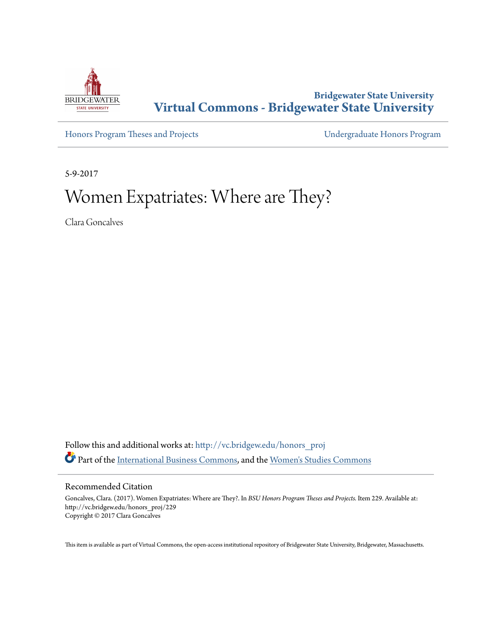

# **Bridgewater State University [Virtual Commons - Bridgewater State University](http://vc.bridgew.edu?utm_source=vc.bridgew.edu%2Fhonors_proj%2F229&utm_medium=PDF&utm_campaign=PDFCoverPages)**

[Honors Program Theses and Projects](http://vc.bridgew.edu/honors_proj?utm_source=vc.bridgew.edu%2Fhonors_proj%2F229&utm_medium=PDF&utm_campaign=PDFCoverPages) [Undergraduate Honors Program](http://vc.bridgew.edu/honors?utm_source=vc.bridgew.edu%2Fhonors_proj%2F229&utm_medium=PDF&utm_campaign=PDFCoverPages)

5-9-2017

# Women Expatriates: Where are They?

Clara Goncalves

Follow this and additional works at: [http://vc.bridgew.edu/honors\\_proj](http://vc.bridgew.edu/honors_proj?utm_source=vc.bridgew.edu%2Fhonors_proj%2F229&utm_medium=PDF&utm_campaign=PDFCoverPages) Part of the [International Business Commons](http://network.bepress.com/hgg/discipline/634?utm_source=vc.bridgew.edu%2Fhonors_proj%2F229&utm_medium=PDF&utm_campaign=PDFCoverPages), and the [Women's Studies Commons](http://network.bepress.com/hgg/discipline/561?utm_source=vc.bridgew.edu%2Fhonors_proj%2F229&utm_medium=PDF&utm_campaign=PDFCoverPages)

#### Recommended Citation

Goncalves, Clara. (2017). Women Expatriates: Where are They?. In *BSU Honors Program Theses and Projects.* Item 229. Available at: http://vc.bridgew.edu/honors\_proj/229 Copyright © 2017 Clara Goncalves

This item is available as part of Virtual Commons, the open-access institutional repository of Bridgewater State University, Bridgewater, Massachusetts.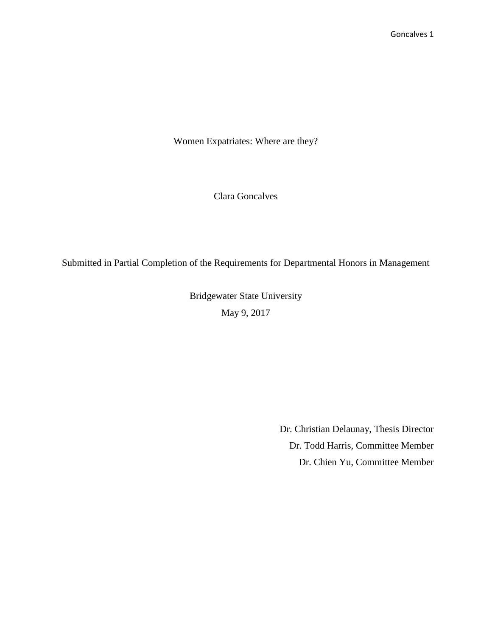Women Expatriates: Where are they?

Clara Goncalves

Submitted in Partial Completion of the Requirements for Departmental Honors in Management

Bridgewater State University May 9, 2017

> Dr. Christian Delaunay, Thesis Director Dr. Todd Harris, Committee Member Dr. Chien Yu, Committee Member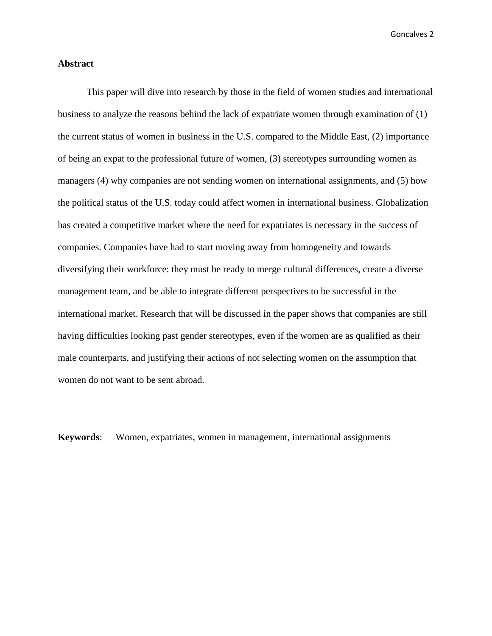#### **Abstract**

This paper will dive into research by those in the field of women studies and international business to analyze the reasons behind the lack of expatriate women through examination of (1) the current status of women in business in the U.S. compared to the Middle East, (2) importance of being an expat to the professional future of women, (3) stereotypes surrounding women as managers (4) why companies are not sending women on international assignments, and (5) how the political status of the U.S. today could affect women in international business. Globalization has created a competitive market where the need for expatriates is necessary in the success of companies. Companies have had to start moving away from homogeneity and towards diversifying their workforce: they must be ready to merge cultural differences, create a diverse management team, and be able to integrate different perspectives to be successful in the international market. Research that will be discussed in the paper shows that companies are still having difficulties looking past gender stereotypes, even if the women are as qualified as their male counterparts, and justifying their actions of not selecting women on the assumption that women do not want to be sent abroad.

**Keywords**: Women, expatriates, women in management, international assignments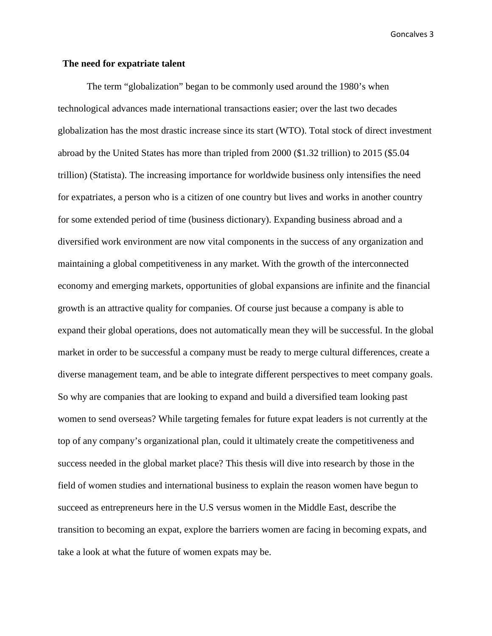#### **The need for expatriate talent**

The term "globalization" began to be commonly used around the 1980's when technological advances made international transactions easier; over the last two decades globalization has the most drastic increase since its start (WTO). Total stock of direct investment abroad by the United States has more than tripled from 2000 (\$1.32 trillion) to 2015 (\$5.04 trillion) (Statista). The increasing importance for worldwide business only intensifies the need for expatriates, a person who is a citizen of one country but lives and works in another country for some extended period of time (business dictionary). Expanding business abroad and a diversified work environment are now vital components in the success of any organization and maintaining a global competitiveness in any market. With the growth of the interconnected economy and emerging markets, opportunities of global expansions are infinite and the financial growth is an attractive quality for companies. Of course just because a company is able to expand their global operations, does not automatically mean they will be successful. In the global market in order to be successful a company must be ready to merge cultural differences, create a diverse management team, and be able to integrate different perspectives to meet company goals. So why are companies that are looking to expand and build a diversified team looking past women to send overseas? While targeting females for future expat leaders is not currently at the top of any company's organizational plan, could it ultimately create the competitiveness and success needed in the global market place? This thesis will dive into research by those in the field of women studies and international business to explain the reason women have begun to succeed as entrepreneurs here in the U.S versus women in the Middle East, describe the transition to becoming an expat, explore the barriers women are facing in becoming expats, and take a look at what the future of women expats may be.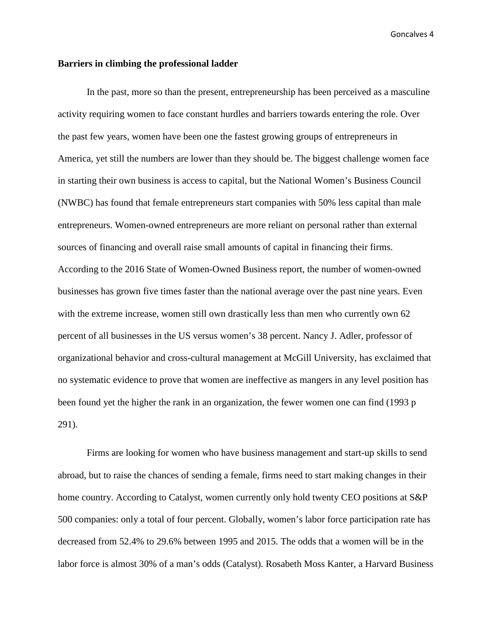#### **Barriers in climbing the professional ladder**

In the past, more so than the present, entrepreneurship has been perceived as a masculine activity requiring women to face constant hurdles and barriers towards entering the role. Over the past few years, women have been one the fastest growing groups of entrepreneurs in America, yet still the numbers are lower than they should be. The biggest challenge women face in starting their own business is access to capital, but the National Women's Business Council (NWBC) has found that female entrepreneurs start companies with 50% less capital than male entrepreneurs. Women-owned entrepreneurs are more reliant on personal rather than external sources of financing and overall raise small amounts of capital in financing their firms. According to the 2016 State of Women-Owned Business report, the number of women-owned businesses has grown five times faster than the national average over the past nine years. Even with the extreme increase, women still own drastically less than men who currently own 62 percent of all businesses in the US versus women's 38 percent. Nancy J. Adler, professor of organizational behavior and cross-cultural management at McGill University, has exclaimed that no systematic evidence to prove that women are ineffective as mangers in any level position has been found yet the higher the rank in an organization, the fewer women one can find (1993 p 291).

Firms are looking for women who have business management and start-up skills to send abroad, but to raise the chances of sending a female, firms need to start making changes in their home country. According to Catalyst, women currently only hold twenty CEO positions at S&P 500 companies: only a total of four percent. Globally, women's labor force participation rate has decreased from 52.4% to 29.6% between 1995 and 2015. The odds that a women will be in the labor force is almost 30% of a man's odds (Catalyst). Rosabeth Moss Kanter, a Harvard Business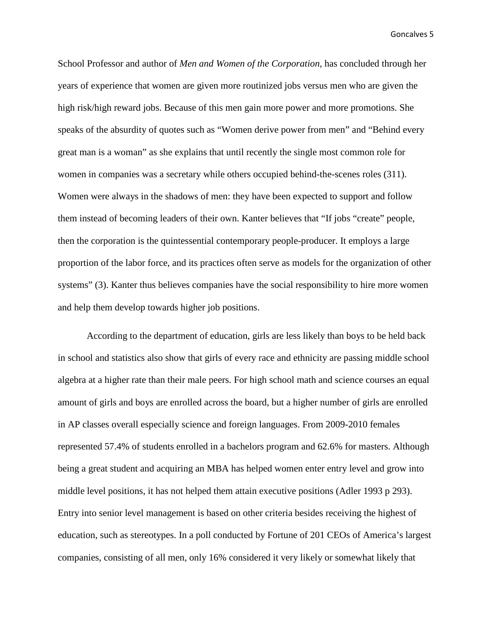School Professor and author of *Men and Women of the Corporation,* has concluded through her years of experience that women are given more routinized jobs versus men who are given the high risk/high reward jobs. Because of this men gain more power and more promotions. She speaks of the absurdity of quotes such as "Women derive power from men" and "Behind every great man is a woman" as she explains that until recently the single most common role for women in companies was a secretary while others occupied behind-the-scenes roles (311). Women were always in the shadows of men: they have been expected to support and follow them instead of becoming leaders of their own. Kanter believes that "If jobs "create" people, then the corporation is the quintessential contemporary people-producer. It employs a large proportion of the labor force, and its practices often serve as models for the organization of other systems" (3). Kanter thus believes companies have the social responsibility to hire more women and help them develop towards higher job positions.

According to the department of education, girls are less likely than boys to be held back in school and statistics also show that girls of every race and ethnicity are passing middle school algebra at a higher rate than their male peers. For high school math and science courses an equal amount of girls and boys are enrolled across the board, but a higher number of girls are enrolled in AP classes overall especially science and foreign languages. From 2009-2010 females represented 57.4% of students enrolled in a bachelors program and 62.6% for masters. Although being a great student and acquiring an MBA has helped women enter entry level and grow into middle level positions, it has not helped them attain executive positions (Adler 1993 p 293). Entry into senior level management is based on other criteria besides receiving the highest of education, such as stereotypes. In a poll conducted by Fortune of 201 CEOs of America's largest companies, consisting of all men, only 16% considered it very likely or somewhat likely that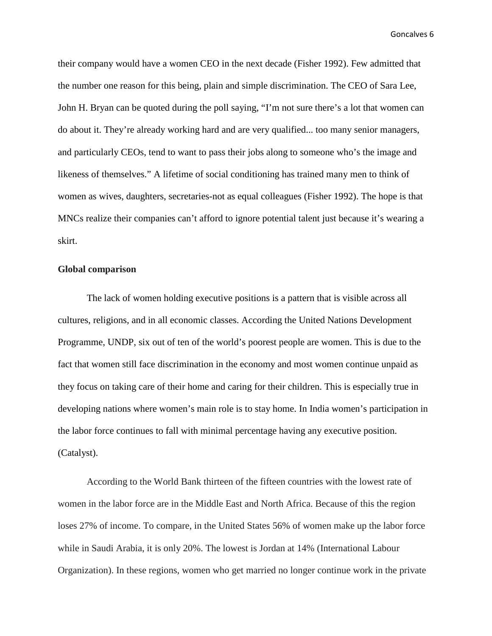their company would have a women CEO in the next decade (Fisher 1992). Few admitted that the number one reason for this being, plain and simple discrimination. The CEO of Sara Lee, John H. Bryan can be quoted during the poll saying, "I'm not sure there's a lot that women can do about it. They're already working hard and are very qualified... too many senior managers, and particularly CEOs, tend to want to pass their jobs along to someone who's the image and likeness of themselves." A lifetime of social conditioning has trained many men to think of women as wives, daughters, secretaries-not as equal colleagues (Fisher 1992). The hope is that MNCs realize their companies can't afford to ignore potential talent just because it's wearing a skirt.

### **Global comparison**

The lack of women holding executive positions is a pattern that is visible across all cultures, religions, and in all economic classes. According the United Nations Development Programme, UNDP, six out of ten of the world's poorest people are women. This is due to the fact that women still face discrimination in the economy and most women continue unpaid as they focus on taking care of their home and caring for their children. This is especially true in developing nations where women's main role is to stay home. In India women's participation in the labor force continues to fall with minimal percentage having any executive position. (Catalyst).

According to the World Bank thirteen of the fifteen countries with the lowest rate of women in the labor force are in the Middle East and North Africa. Because of this the region loses 27% of income. To compare, in the United States 56% of women make up the labor force while in Saudi Arabia, it is only 20%. The lowest is Jordan at 14% (International Labour Organization). In these regions, women who get married no longer continue work in the private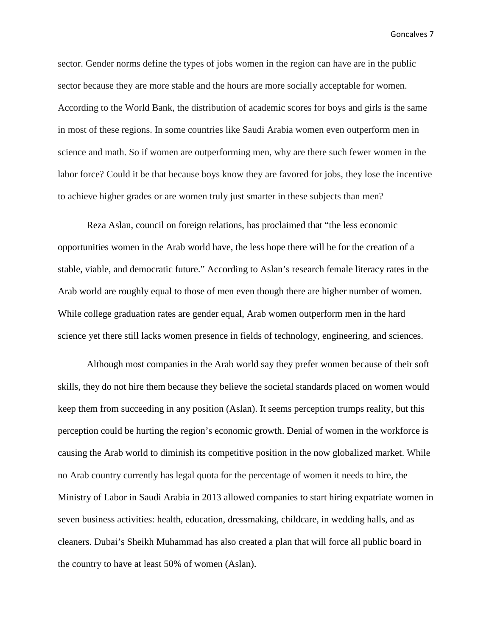sector. Gender norms define the types of jobs women in the region can have are in the public sector because they are more stable and the hours are more socially acceptable for women. According to the World Bank, the distribution of academic scores for boys and girls is the same in most of these regions. In some countries like Saudi Arabia women even outperform men in science and math. So if women are outperforming men, why are there such fewer women in the labor force? Could it be that because boys know they are favored for jobs, they lose the incentive to achieve higher grades or are women truly just smarter in these subjects than men?

Reza Aslan, council on foreign relations, has proclaimed that "the less economic opportunities women in the Arab world have, the less hope there will be for the creation of a stable, viable, and democratic future." According to Aslan's research female literacy rates in the Arab world are roughly equal to those of men even though there are higher number of women. While college graduation rates are gender equal, Arab women outperform men in the hard science yet there still lacks women presence in fields of technology, engineering, and sciences.

Although most companies in the Arab world say they prefer women because of their soft skills, they do not hire them because they believe the societal standards placed on women would keep them from succeeding in any position (Aslan). It seems perception trumps reality, but this perception could be hurting the region's economic growth. Denial of women in the workforce is causing the Arab world to diminish its competitive position in the now globalized market. While no Arab country currently has legal quota for the percentage of women it needs to hire, the Ministry of Labor in Saudi Arabia in 2013 allowed companies to start hiring expatriate women in seven business activities: health, education, dressmaking, childcare, in wedding halls, and as cleaners. Dubai's Sheikh Muhammad has also created a plan that will force all public board in the country to have at least 50% of women (Aslan).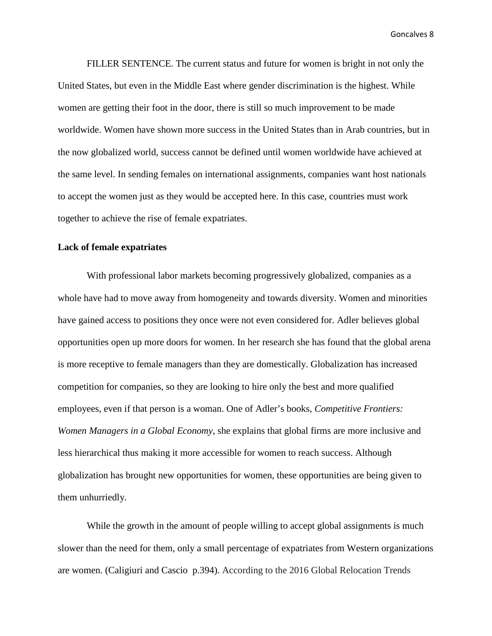FILLER SENTENCE. The current status and future for women is bright in not only the United States, but even in the Middle East where gender discrimination is the highest. While women are getting their foot in the door, there is still so much improvement to be made worldwide. Women have shown more success in the United States than in Arab countries, but in the now globalized world, success cannot be defined until women worldwide have achieved at the same level. In sending females on international assignments, companies want host nationals to accept the women just as they would be accepted here. In this case, countries must work together to achieve the rise of female expatriates.

### **Lack of female expatriates**

With professional labor markets becoming progressively globalized, companies as a whole have had to move away from homogeneity and towards diversity. Women and minorities have gained access to positions they once were not even considered for. Adler believes global opportunities open up more doors for women. In her research she has found that the global arena is more receptive to female managers than they are domestically. Globalization has increased competition for companies, so they are looking to hire only the best and more qualified employees, even if that person is a woman. One of Adler's books, *Competitive Frontiers: Women Managers in a Global Economy*, she explains that global firms are more inclusive and less hierarchical thus making it more accessible for women to reach success. Although globalization has brought new opportunities for women, these opportunities are being given to them unhurriedly.

While the growth in the amount of people willing to accept global assignments is much slower than the need for them, only a small percentage of expatriates from Western organizations are women. (Caligiuri and Cascio p.394). According to the 2016 Global Relocation Trends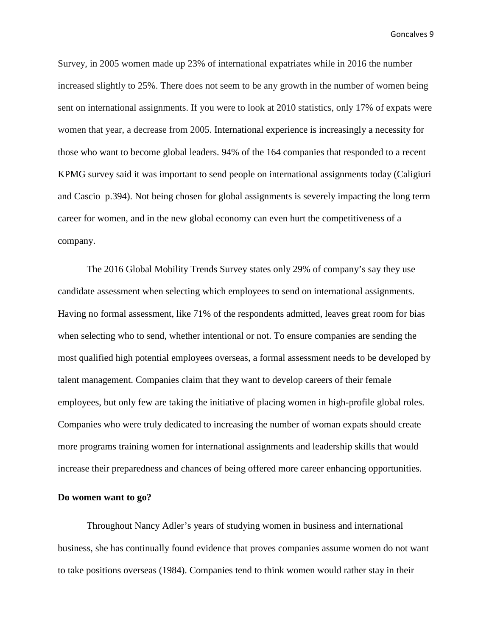Survey, in 2005 women made up 23% of international expatriates while in 2016 the number increased slightly to 25%. There does not seem to be any growth in the number of women being sent on international assignments. If you were to look at 2010 statistics, only 17% of expats were women that year, a decrease from 2005. International experience is increasingly a necessity for those who want to become global leaders. 94% of the 164 companies that responded to a recent KPMG survey said it was important to send people on international assignments today (Caligiuri and Cascio p.394). Not being chosen for global assignments is severely impacting the long term career for women, and in the new global economy can even hurt the competitiveness of a company.

The 2016 Global Mobility Trends Survey states only 29% of company's say they use candidate assessment when selecting which employees to send on international assignments. Having no formal assessment, like 71% of the respondents admitted, leaves great room for bias when selecting who to send, whether intentional or not. To ensure companies are sending the most qualified high potential employees overseas, a formal assessment needs to be developed by talent management. Companies claim that they want to develop careers of their female employees, but only few are taking the initiative of placing women in high-profile global roles. Companies who were truly dedicated to increasing the number of woman expats should create more programs training women for international assignments and leadership skills that would increase their preparedness and chances of being offered more career enhancing opportunities.

#### **Do women want to go?**

Throughout Nancy Adler's years of studying women in business and international business, she has continually found evidence that proves companies assume women do not want to take positions overseas (1984). Companies tend to think women would rather stay in their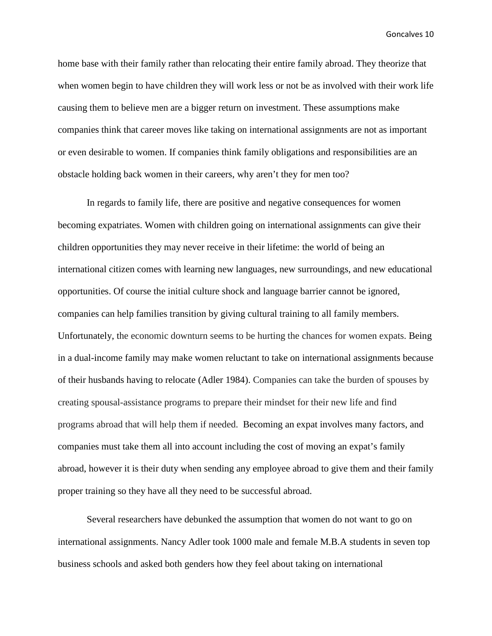home base with their family rather than relocating their entire family abroad. They theorize that when women begin to have children they will work less or not be as involved with their work life causing them to believe men are a bigger return on investment. These assumptions make companies think that career moves like taking on international assignments are not as important or even desirable to women. If companies think family obligations and responsibilities are an obstacle holding back women in their careers, why aren't they for men too?

In regards to family life, there are positive and negative consequences for women becoming expatriates. Women with children going on international assignments can give their children opportunities they may never receive in their lifetime: the world of being an international citizen comes with learning new languages, new surroundings, and new educational opportunities. Of course the initial culture shock and language barrier cannot be ignored, companies can help families transition by giving cultural training to all family members. Unfortunately, the economic downturn seems to be hurting the chances for women expats. Being in a dual-income family may make women reluctant to take on international assignments because of their husbands having to relocate (Adler 1984). Companies can take the burden of spouses by creating spousal-assistance programs to prepare their mindset for their new life and find programs abroad that will help them if needed. Becoming an expat involves many factors, and companies must take them all into account including the cost of moving an expat's family abroad, however it is their duty when sending any employee abroad to give them and their family proper training so they have all they need to be successful abroad.

Several researchers have debunked the assumption that women do not want to go on international assignments. Nancy Adler took 1000 male and female M.B.A students in seven top business schools and asked both genders how they feel about taking on international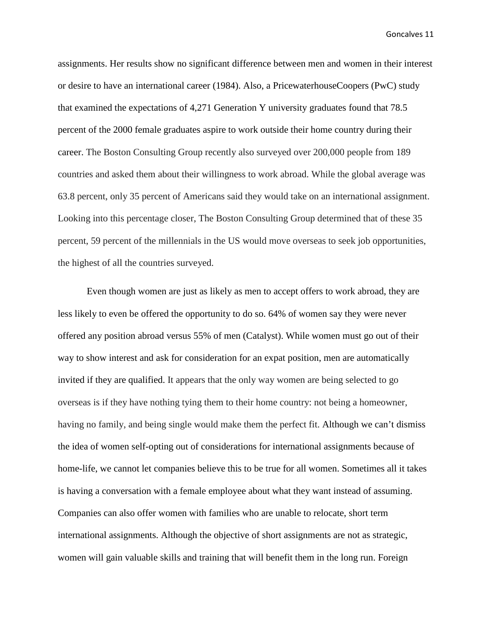assignments. Her results show no significant difference between men and women in their interest or desire to have an international career (1984). Also, a PricewaterhouseCoopers (PwC) study that examined the expectations of 4,271 Generation Y university graduates found that 78.5 percent of the 2000 female graduates aspire to work outside their home country during their career. The Boston Consulting Group recently also surveyed over 200,000 people from 189 countries and asked them about their willingness to work abroad. While the global average was 63.8 percent, only 35 percent of Americans said they would take on an international assignment. Looking into this percentage closer, The Boston Consulting Group determined that of these 35 percent, 59 percent of the millennials in the US would move overseas to seek job opportunities, the highest of all the countries surveyed.

Even though women are just as likely as men to accept offers to work abroad, they are less likely to even be offered the opportunity to do so. 64% of women say they were never offered any position abroad versus 55% of men (Catalyst). While women must go out of their way to show interest and ask for consideration for an expat position, men are automatically invited if they are qualified. It appears that the only way women are being selected to go overseas is if they have nothing tying them to their home country: not being a homeowner, having no family, and being single would make them the perfect fit. Although we can't dismiss the idea of women self-opting out of considerations for international assignments because of home-life, we cannot let companies believe this to be true for all women. Sometimes all it takes is having a conversation with a female employee about what they want instead of assuming. Companies can also offer women with families who are unable to relocate, short term international assignments. Although the objective of short assignments are not as strategic, women will gain valuable skills and training that will benefit them in the long run. Foreign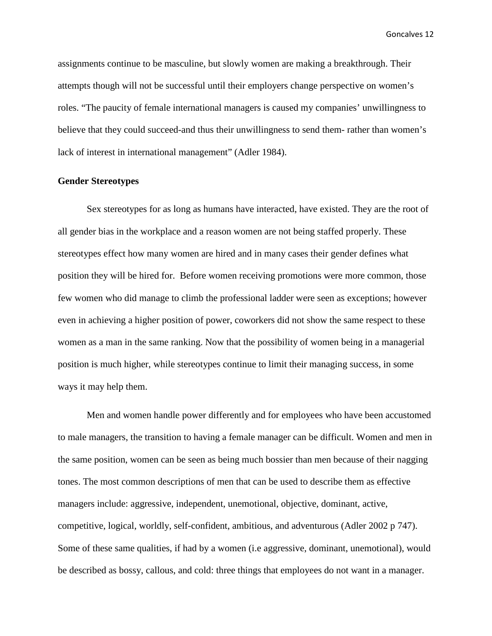assignments continue to be masculine, but slowly women are making a breakthrough. Their attempts though will not be successful until their employers change perspective on women's roles. "The paucity of female international managers is caused my companies' unwillingness to believe that they could succeed-and thus their unwillingness to send them- rather than women's lack of interest in international management" (Adler 1984).

#### **Gender Stereotypes**

Sex stereotypes for as long as humans have interacted, have existed. They are the root of all gender bias in the workplace and a reason women are not being staffed properly. These stereotypes effect how many women are hired and in many cases their gender defines what position they will be hired for. Before women receiving promotions were more common, those few women who did manage to climb the professional ladder were seen as exceptions; however even in achieving a higher position of power, coworkers did not show the same respect to these women as a man in the same ranking. Now that the possibility of women being in a managerial position is much higher, while stereotypes continue to limit their managing success, in some ways it may help them.

Men and women handle power differently and for employees who have been accustomed to male managers, the transition to having a female manager can be difficult. Women and men in the same position, women can be seen as being much bossier than men because of their nagging tones. The most common descriptions of men that can be used to describe them as effective managers include: aggressive, independent, unemotional, objective, dominant, active, competitive, logical, worldly, self-confident, ambitious, and adventurous (Adler 2002 p 747). Some of these same qualities, if had by a women (i.e aggressive, dominant, unemotional), would be described as bossy, callous, and cold: three things that employees do not want in a manager.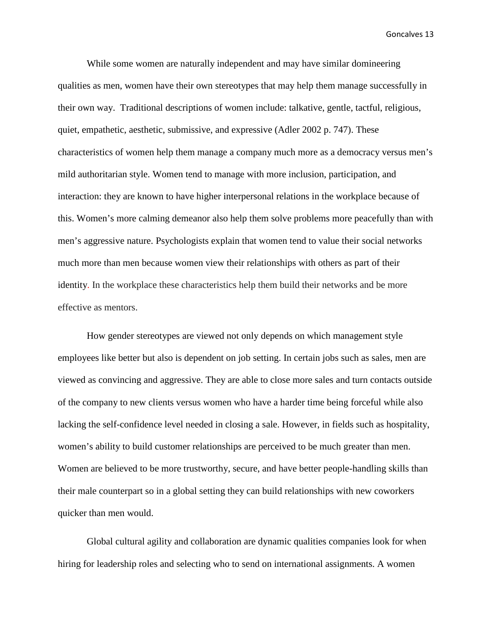While some women are naturally independent and may have similar domineering qualities as men, women have their own stereotypes that may help them manage successfully in their own way. Traditional descriptions of women include: talkative, gentle, tactful, religious, quiet, empathetic, aesthetic, submissive, and expressive (Adler 2002 p. 747). These characteristics of women help them manage a company much more as a democracy versus men's mild authoritarian style. Women tend to manage with more inclusion, participation, and interaction: they are known to have higher interpersonal relations in the workplace because of this. Women's more calming demeanor also help them solve problems more peacefully than with men's aggressive nature. Psychologists explain that women tend to value their social networks much more than men because women view their relationships with others as part of their identity. In the workplace these characteristics help them build their networks and be more effective as mentors.

How gender stereotypes are viewed not only depends on which management style employees like better but also is dependent on job setting. In certain jobs such as sales, men are viewed as convincing and aggressive. They are able to close more sales and turn contacts outside of the company to new clients versus women who have a harder time being forceful while also lacking the self-confidence level needed in closing a sale. However, in fields such as hospitality, women's ability to build customer relationships are perceived to be much greater than men. Women are believed to be more trustworthy, secure, and have better people-handling skills than their male counterpart so in a global setting they can build relationships with new coworkers quicker than men would.

Global cultural agility and collaboration are dynamic qualities companies look for when hiring for leadership roles and selecting who to send on international assignments. A women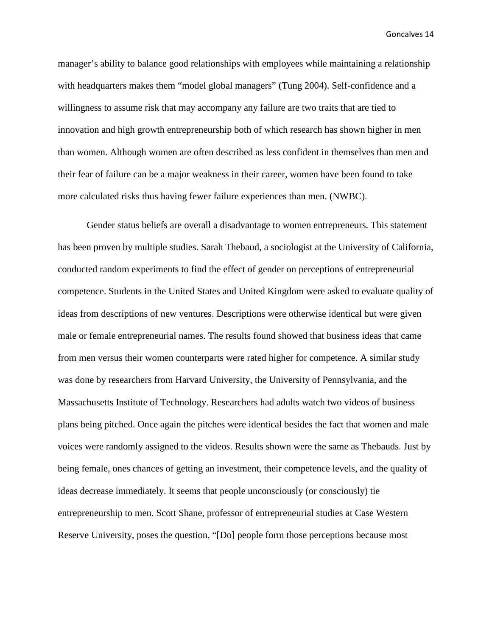manager's ability to balance good relationships with employees while maintaining a relationship with headquarters makes them "model global managers" (Tung 2004). Self-confidence and a willingness to assume risk that may accompany any failure are two traits that are tied to innovation and high growth entrepreneurship both of which research has shown higher in men than women. Although women are often described as less confident in themselves than men and their fear of failure can be a major weakness in their career, women have been found to take more calculated risks thus having fewer failure experiences than men. (NWBC).

Gender status beliefs are overall a disadvantage to women entrepreneurs. This statement has been proven by multiple studies. Sarah Thebaud, a sociologist at the University of California, conducted random experiments to find the effect of gender on perceptions of entrepreneurial competence. Students in the United States and United Kingdom were asked to evaluate quality of ideas from descriptions of new ventures. Descriptions were otherwise identical but were given male or female entrepreneurial names. The results found showed that business ideas that came from men versus their women counterparts were rated higher for competence. A similar study was done by researchers from Harvard University, the University of Pennsylvania, and the Massachusetts Institute of Technology. Researchers had adults watch two videos of business plans being pitched. Once again the pitches were identical besides the fact that women and male voices were randomly assigned to the videos. Results shown were the same as Thebauds. Just by being female, ones chances of getting an investment, their competence levels, and the quality of ideas decrease immediately. It seems that people unconsciously (or consciously) tie entrepreneurship to men. Scott Shane, professor of entrepreneurial studies at Case Western Reserve University, poses the question, "[Do] people form those perceptions because most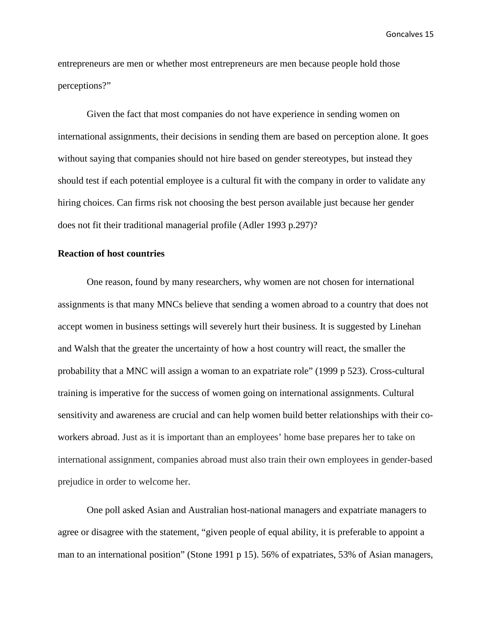entrepreneurs are men or whether most entrepreneurs are men because people hold those perceptions?"

Given the fact that most companies do not have experience in sending women on international assignments, their decisions in sending them are based on perception alone. It goes without saying that companies should not hire based on gender stereotypes, but instead they should test if each potential employee is a cultural fit with the company in order to validate any hiring choices. Can firms risk not choosing the best person available just because her gender does not fit their traditional managerial profile (Adler 1993 p.297)?

#### **Reaction of host countries**

One reason, found by many researchers, why women are not chosen for international assignments is that many MNCs believe that sending a women abroad to a country that does not accept women in business settings will severely hurt their business. It is suggested by Linehan and Walsh that the greater the uncertainty of how a host country will react, the smaller the probability that a MNC will assign a woman to an expatriate role" (1999 p 523). Cross-cultural training is imperative for the success of women going on international assignments. Cultural sensitivity and awareness are crucial and can help women build better relationships with their coworkers abroad. Just as it is important than an employees' home base prepares her to take on international assignment, companies abroad must also train their own employees in gender-based prejudice in order to welcome her.

One poll asked Asian and Australian host-national managers and expatriate managers to agree or disagree with the statement, "given people of equal ability, it is preferable to appoint a man to an international position" (Stone 1991 p 15). 56% of expatriates, 53% of Asian managers,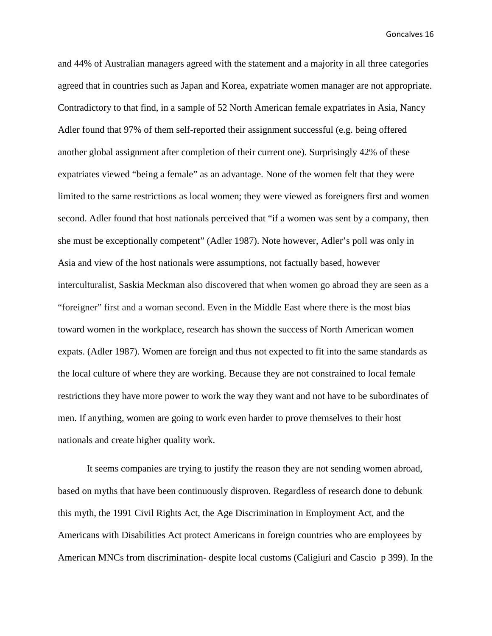and 44% of Australian managers agreed with the statement and a majority in all three categories agreed that in countries such as Japan and Korea, expatriate women manager are not appropriate. Contradictory to that find, in a sample of 52 North American female expatriates in Asia, Nancy Adler found that 97% of them self-reported their assignment successful (e.g. being offered another global assignment after completion of their current one). Surprisingly 42% of these expatriates viewed "being a female" as an advantage. None of the women felt that they were limited to the same restrictions as local women; they were viewed as foreigners first and women second. Adler found that host nationals perceived that "if a women was sent by a company, then she must be exceptionally competent" (Adler 1987). Note however, Adler's poll was only in Asia and view of the host nationals were assumptions, not factually based, however interculturalist, Saskia Meckman also discovered that when women go abroad they are seen as a "foreigner" first and a woman second. Even in the Middle East where there is the most bias toward women in the workplace, research has shown the success of North American women expats. (Adler 1987). Women are foreign and thus not expected to fit into the same standards as the local culture of where they are working. Because they are not constrained to local female restrictions they have more power to work the way they want and not have to be subordinates of men. If anything, women are going to work even harder to prove themselves to their host nationals and create higher quality work.

It seems companies are trying to justify the reason they are not sending women abroad, based on myths that have been continuously disproven. Regardless of research done to debunk this myth, the 1991 Civil Rights Act, the Age Discrimination in Employment Act, and the Americans with Disabilities Act protect Americans in foreign countries who are employees by American MNCs from discrimination- despite local customs (Caligiuri and Cascio p 399). In the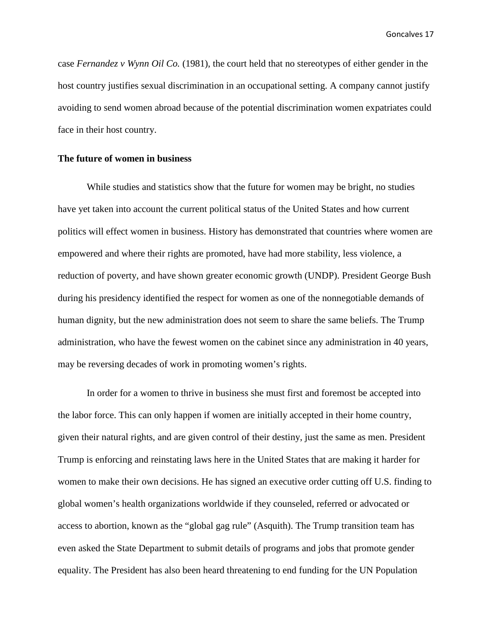case *Fernandez v Wynn Oil Co.* (1981), the court held that no stereotypes of either gender in the host country justifies sexual discrimination in an occupational setting. A company cannot justify avoiding to send women abroad because of the potential discrimination women expatriates could face in their host country.

## **The future of women in business**

While studies and statistics show that the future for women may be bright, no studies have yet taken into account the current political status of the United States and how current politics will effect women in business. History has demonstrated that countries where women are empowered and where their rights are promoted, have had more stability, less violence, a reduction of poverty, and have shown greater economic growth (UNDP). President George Bush during his presidency identified the respect for women as one of the nonnegotiable demands of human dignity, but the new administration does not seem to share the same beliefs. The Trump administration, who have the fewest women on the cabinet since any administration in 40 years, may be reversing decades of work in promoting women's rights.

In order for a women to thrive in business she must first and foremost be accepted into the labor force. This can only happen if women are initially accepted in their home country, given their natural rights, and are given control of their destiny, just the same as men. President Trump is enforcing and reinstating laws here in the United States that are making it harder for women to make their own decisions. He has signed an executive order cutting off U.S. finding to global women's health organizations worldwide if they counseled, referred or advocated or access to abortion, known as the "global gag rule" (Asquith). The Trump transition team has even asked the State Department to submit details of programs and jobs that promote gender equality. The President has also been heard threatening to end funding for the UN Population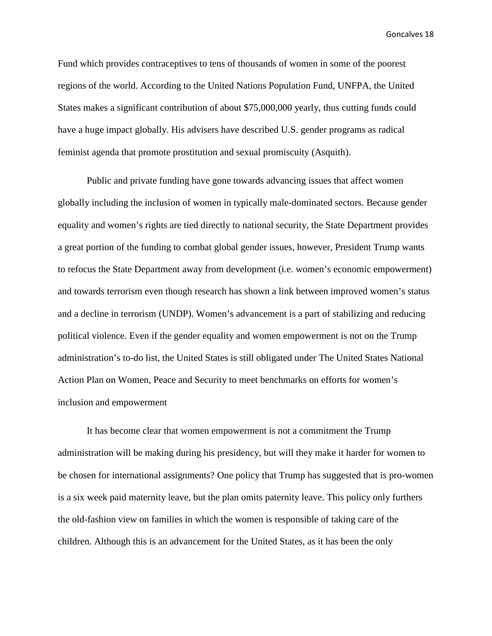Fund which provides contraceptives to tens of thousands of women in some of the poorest regions of the world. According to the United Nations Population Fund, UNFPA, the United States makes a significant contribution of about \$75,000,000 yearly, thus cutting funds could have a huge impact globally. His advisers have described U.S. gender programs as radical feminist agenda that promote prostitution and sexual promiscuity (Asquith).

Public and private funding have gone towards advancing issues that affect women globally including the inclusion of women in typically male-dominated sectors. Because gender equality and women's rights are tied directly to national security, the State Department provides a great portion of the funding to combat global gender issues, however, President Trump wants to refocus the State Department away from development (i.e. women's economic empowerment) and towards terrorism even though research has shown a link between improved women's status and a decline in terrorism (UNDP). Women's advancement is a part of stabilizing and reducing political violence. Even if the gender equality and women empowerment is not on the Trump administration's to-do list, the United States is still obligated under The United States National Action Plan on Women, Peace and Security to meet benchmarks on efforts for women's inclusion and empowerment

It has become clear that women empowerment is not a commitment the Trump administration will be making during his presidency, but will they make it harder for women to be chosen for international assignments? One policy that Trump has suggested that is pro-women is a six week paid maternity leave, but the plan omits paternity leave. This policy only furthers the old-fashion view on families in which the women is responsible of taking care of the children. Although this is an advancement for the United States, as it has been the only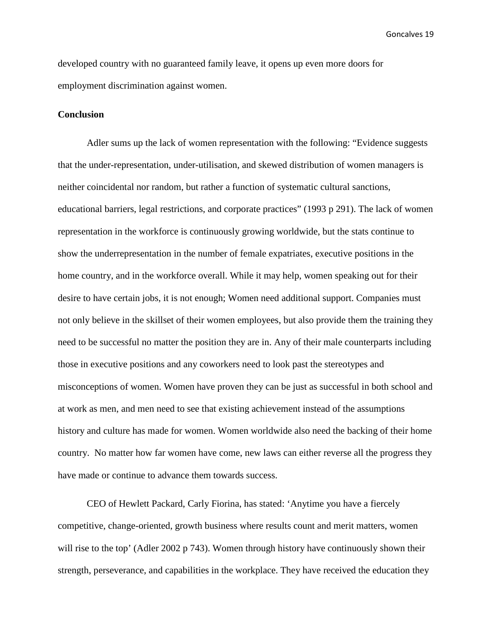developed country with no guaranteed family leave, it opens up even more doors for employment discrimination against women.

#### **Conclusion**

Adler sums up the lack of women representation with the following: "Evidence suggests that the under-representation, under-utilisation, and skewed distribution of women managers is neither coincidental nor random, but rather a function of systematic cultural sanctions, educational barriers, legal restrictions, and corporate practices" (1993 p 291). The lack of women representation in the workforce is continuously growing worldwide, but the stats continue to show the underrepresentation in the number of female expatriates, executive positions in the home country, and in the workforce overall. While it may help, women speaking out for their desire to have certain jobs, it is not enough; Women need additional support. Companies must not only believe in the skillset of their women employees, but also provide them the training they need to be successful no matter the position they are in. Any of their male counterparts including those in executive positions and any coworkers need to look past the stereotypes and misconceptions of women. Women have proven they can be just as successful in both school and at work as men, and men need to see that existing achievement instead of the assumptions history and culture has made for women. Women worldwide also need the backing of their home country. No matter how far women have come, new laws can either reverse all the progress they have made or continue to advance them towards success.

CEO of Hewlett Packard, Carly Fiorina, has stated: 'Anytime you have a fiercely competitive, change-oriented, growth business where results count and merit matters, women will rise to the top' (Adler 2002 p 743). Women through history have continuously shown their strength, perseverance, and capabilities in the workplace. They have received the education they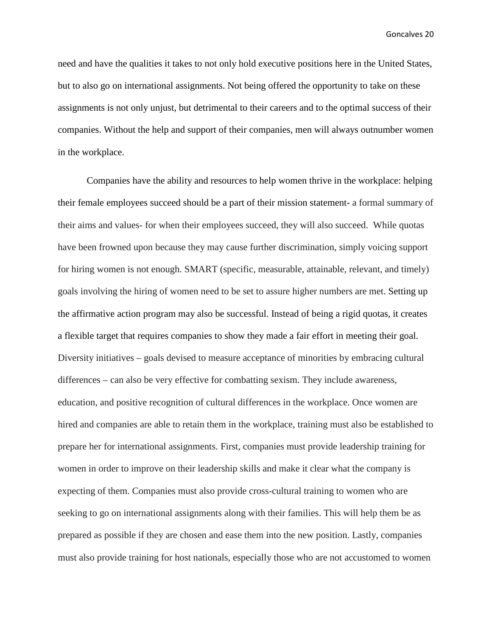need and have the qualities it takes to not only hold executive positions here in the United States, but to also go on international assignments. Not being offered the opportunity to take on these assignments is not only unjust, but detrimental to their careers and to the optimal success of their companies. Without the help and support of their companies, men will always outnumber women in the workplace.

Companies have the ability and resources to help women thrive in the workplace: helping their female employees succeed should be a part of their mission statement- a formal summary of their aims and values- for when their employees succeed, they will also succeed. While quotas have been frowned upon because they may cause further discrimination, simply voicing support for hiring women is not enough. SMART (specific, measurable, attainable, relevant, and timely) goals involving the hiring of women need to be set to assure higher numbers are met. Setting up the affirmative action program may also be successful. Instead of being a rigid quotas, it creates a flexible target that requires companies to show they made a fair effort in meeting their goal. Diversity initiatives – goals devised to measure acceptance of minorities by embracing cultural differences – can also be very effective for combatting sexism. They include awareness, education, and positive recognition of cultural differences in the workplace. Once women are hired and companies are able to retain them in the workplace, training must also be established to prepare her for international assignments. First, companies must provide leadership training for women in order to improve on their leadership skills and make it clear what the company is expecting of them. Companies must also provide cross-cultural training to women who are seeking to go on international assignments along with their families. This will help them be as prepared as possible if they are chosen and ease them into the new position. Lastly, companies must also provide training for host nationals, especially those who are not accustomed to women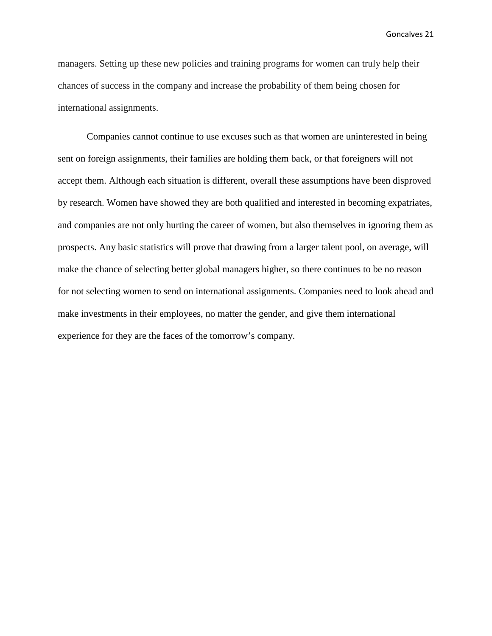managers. Setting up these new policies and training programs for women can truly help their chances of success in the company and increase the probability of them being chosen for international assignments.

Companies cannot continue to use excuses such as that women are uninterested in being sent on foreign assignments, their families are holding them back, or that foreigners will not accept them. Although each situation is different, overall these assumptions have been disproved by research. Women have showed they are both qualified and interested in becoming expatriates, and companies are not only hurting the career of women, but also themselves in ignoring them as prospects. Any basic statistics will prove that drawing from a larger talent pool, on average, will make the chance of selecting better global managers higher, so there continues to be no reason for not selecting women to send on international assignments. Companies need to look ahead and make investments in their employees, no matter the gender, and give them international experience for they are the faces of the tomorrow's company.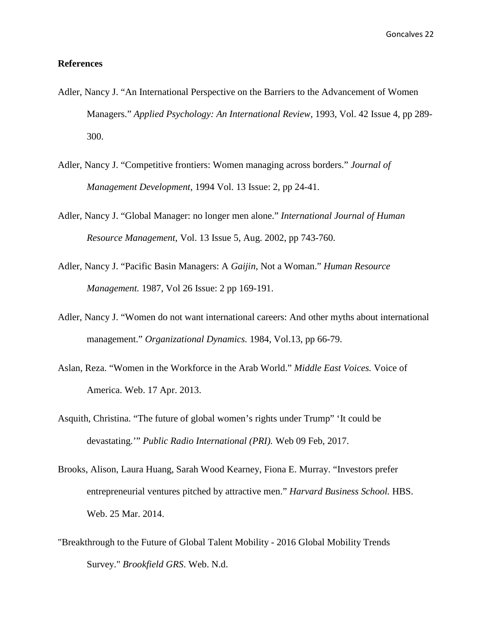#### **References**

- Adler, Nancy J. "An International Perspective on the Barriers to the Advancement of Women Managers." *Applied Psychology: An International Review,* 1993, Vol. 42 Issue 4, pp 289- 300.
- Adler, Nancy J. "Competitive frontiers: Women managing across borders." *Journal of Management Development*, 1994 Vol. 13 Issue: 2, pp 24-41.
- Adler, Nancy J. "Global Manager: no longer men alone." *International Journal of Human Resource Management*, Vol. 13 Issue 5, Aug. 2002, pp 743-760.
- Adler, Nancy J. "Pacific Basin Managers: A *Gaijin*, Not a Woman." *Human Resource Management.* 1987, Vol 26 Issue: 2 pp 169-191.
- Adler, Nancy J. "Women do not want international careers: And other myths about international management." *Organizational Dynamics.* 1984, Vol.13, pp 66-79.
- Aslan, Reza. "Women in the Workforce in the Arab World." *Middle East Voices.* Voice of America. Web. 17 Apr. 2013.
- Asquith, Christina. "The future of global women's rights under Trump" 'It could be devastating.'" *Public Radio International (PRI).* Web 09 Feb, 2017.
- Brooks, Alison, Laura Huang, Sarah Wood Kearney, Fiona E. Murray. "Investors prefer entrepreneurial ventures pitched by attractive men." *Harvard Business School.* HBS. Web. 25 Mar. 2014.
- "Breakthrough to the Future of Global Talent Mobility 2016 Global Mobility Trends Survey." *Brookfield GRS*. Web. N.d.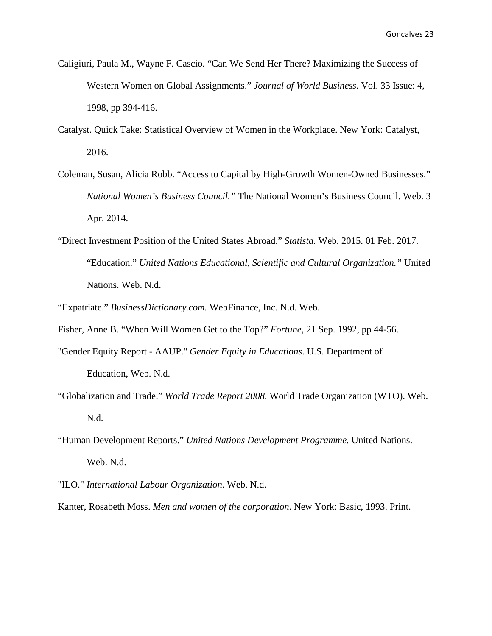- Caligiuri, Paula M., Wayne F. Cascio. "Can We Send Her There? Maximizing the Success of Western Women on Global Assignments." *Journal of World Business.* Vol. 33 Issue: 4, 1998, pp 394-416.
- Catalyst. Quick Take: Statistical Overview of Women in the Workplace. New York: Catalyst, 2016.
- Coleman, Susan, Alicia Robb. "Access to Capital by High-Growth Women-Owned Businesses." *National Women's Business Council."* The National Women's Business Council. Web. 3 Apr. 2014.
- "Direct Investment Position of the United States Abroad." *Statista.* Web. 2015. 01 Feb. 2017. "Education." *United Nations Educational, Scientific and Cultural Organization."* United Nations. Web. N.d.
- "Expatriate." *BusinessDictionary.com.* WebFinance, Inc. N.d. Web.
- Fisher, Anne B. "When Will Women Get to the Top?" *Fortune*, 21 Sep. 1992, pp 44-56.
- "Gender Equity Report AAUP." *Gender Equity in Educations*. U.S. Department of Education, Web. N.d.
- "Globalization and Trade." *World Trade Report 2008.* World Trade Organization (WTO). Web. N.d.
- "Human Development Reports." *United Nations Development Programme.* United Nations. Web. N.d.
- "ILO." *International Labour Organization*. Web. N.d.
- Kanter, Rosabeth Moss. *Men and women of the corporation*. New York: Basic, 1993. Print.